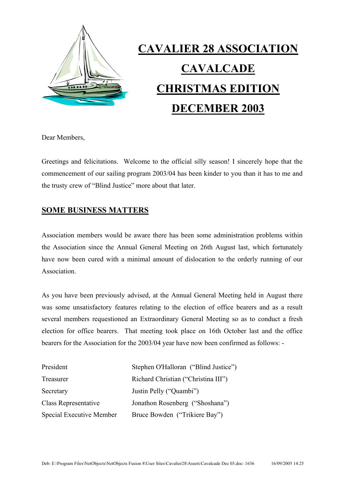

# **CAVALIER 28 ASSOCIATION CAVALCADE CHRISTMAS EDITION DECEMBER 2003**

Dear Members,

Greetings and felicitations. Welcome to the official silly season! I sincerely hope that the commencement of our sailing program 2003/04 has been kinder to you than it has to me and the trusty crew of "Blind Justice" more about that later.

## **SOME BUSINESS MATTERS**

Association members would be aware there has been some administration problems within the Association since the Annual General Meeting on 26th August last, which fortunately have now been cured with a minimal amount of dislocation to the orderly running of our **Association** 

As you have been previously advised, at the Annual General Meeting held in August there was some unsatisfactory features relating to the election of office bearers and as a result several members requestioned an Extraordinary General Meeting so as to conduct a fresh election for office bearers. That meeting took place on 16th October last and the office bearers for the Association for the 2003/04 year have now been confirmed as follows: -

| President                | Stephen O'Halloran ("Blind Justice") |
|--------------------------|--------------------------------------|
| Treasurer                | Richard Christian ("Christina III")  |
| Secretary                | Justin Pelly ("Quambi")              |
| Class Representative     | Jonathon Rosenberg ("Shoshana")      |
| Special Executive Member | Bruce Bowden ("Trikiere Bay")        |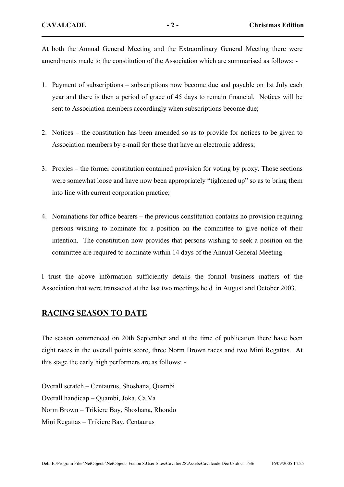At both the Annual General Meeting and the Extraordinary General Meeting there were amendments made to the constitution of the Association which are summarised as follows: -

- 1. Payment of subscriptions subscriptions now become due and payable on 1st July each year and there is then a period of grace of 45 days to remain financial. Notices will be sent to Association members accordingly when subscriptions become due;
- 2. Notices the constitution has been amended so as to provide for notices to be given to Association members by e-mail for those that have an electronic address;
- 3. Proxies the former constitution contained provision for voting by proxy. Those sections were somewhat loose and have now been appropriately "tightened up" so as to bring them into line with current corporation practice;
- 4. Nominations for office bearers the previous constitution contains no provision requiring persons wishing to nominate for a position on the committee to give notice of their intention. The constitution now provides that persons wishing to seek a position on the committee are required to nominate within 14 days of the Annual General Meeting.

I trust the above information sufficiently details the formal business matters of the Association that were transacted at the last two meetings held in August and October 2003.

# **RACING SEASON TO DATE**

The season commenced on 20th September and at the time of publication there have been eight races in the overall points score, three Norm Brown races and two Mini Regattas. At this stage the early high performers are as follows: -

Overall scratch – Centaurus, Shoshana, Quambi Overall handicap – Quambi, Joka, Ca Va Norm Brown – Trikiere Bay, Shoshana, Rhondo Mini Regattas – Trikiere Bay, Centaurus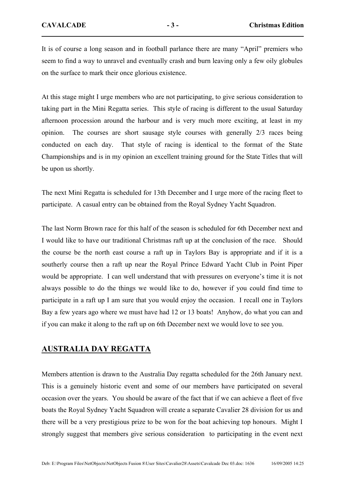It is of course a long season and in football parlance there are many "April" premiers who seem to find a way to unravel and eventually crash and burn leaving only a few oily globules on the surface to mark their once glorious existence.

At this stage might I urge members who are not participating, to give serious consideration to taking part in the Mini Regatta series. This style of racing is different to the usual Saturday afternoon procession around the harbour and is very much more exciting, at least in my opinion. The courses are short sausage style courses with generally 2/3 races being conducted on each day. That style of racing is identical to the format of the State Championships and is in my opinion an excellent training ground for the State Titles that will be upon us shortly.

The next Mini Regatta is scheduled for 13th December and I urge more of the racing fleet to participate. A casual entry can be obtained from the Royal Sydney Yacht Squadron.

The last Norm Brown race for this half of the season is scheduled for 6th December next and I would like to have our traditional Christmas raft up at the conclusion of the race. Should the course be the north east course a raft up in Taylors Bay is appropriate and if it is a southerly course then a raft up near the Royal Prince Edward Yacht Club in Point Piper would be appropriate. I can well understand that with pressures on everyone's time it is not always possible to do the things we would like to do, however if you could find time to participate in a raft up I am sure that you would enjoy the occasion. I recall one in Taylors Bay a few years ago where we must have had 12 or 13 boats! Anyhow, do what you can and if you can make it along to the raft up on 6th December next we would love to see you.

#### **AUSTRALIA DAY REGATTA**

Members attention is drawn to the Australia Day regatta scheduled for the 26th January next. This is a genuinely historic event and some of our members have participated on several occasion over the years. You should be aware of the fact that if we can achieve a fleet of five boats the Royal Sydney Yacht Squadron will create a separate Cavalier 28 division for us and there will be a very prestigious prize to be won for the boat achieving top honours. Might I strongly suggest that members give serious consideration to participating in the event next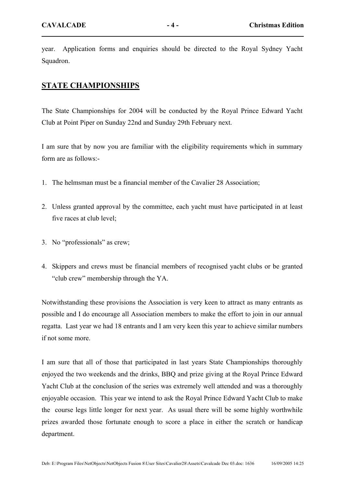year. Application forms and enquiries should be directed to the Royal Sydney Yacht Squadron.

#### **STATE CHAMPIONSHIPS**

The State Championships for 2004 will be conducted by the Royal Prince Edward Yacht Club at Point Piper on Sunday 22nd and Sunday 29th February next.

I am sure that by now you are familiar with the eligibility requirements which in summary form are as follows:-

- 1. The helmsman must be a financial member of the Cavalier 28 Association;
- 2. Unless granted approval by the committee, each yacht must have participated in at least five races at club level;
- 3. No "professionals" as crew;
- 4. Skippers and crews must be financial members of recognised yacht clubs or be granted "club crew" membership through the YA.

Notwithstanding these provisions the Association is very keen to attract as many entrants as possible and I do encourage all Association members to make the effort to join in our annual regatta. Last year we had 18 entrants and I am very keen this year to achieve similar numbers if not some more.

I am sure that all of those that participated in last years State Championships thoroughly enjoyed the two weekends and the drinks, BBQ and prize giving at the Royal Prince Edward Yacht Club at the conclusion of the series was extremely well attended and was a thoroughly enjoyable occasion. This year we intend to ask the Royal Prince Edward Yacht Club to make the course legs little longer for next year. As usual there will be some highly worthwhile prizes awarded those fortunate enough to score a place in either the scratch or handicap department.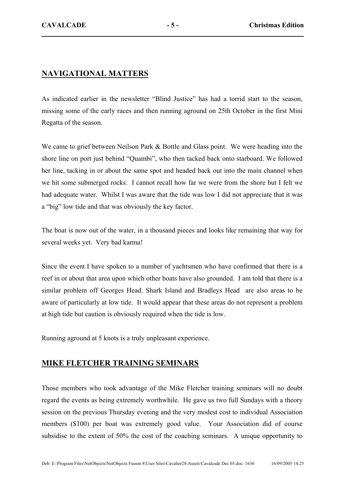## **NAVIGATIONAL MATTERS**

As indicated earlier in the newsletter "Blind Justice" has had a torrid start to the season, missing some of the early races and then running aground on 25th October in the first Mini Regatta of the season.

We came to grief between Neilson Park & Bottle and Glass point. We were heading into the shore line on port just behind "Quambi", who then tacked back onto starboard. We followed her line, tacking in or about the same spot and headed back out into the main channel when we hit some submerged rocks. I cannot recall how far we were from the shore but I felt we had adequate water. Whilst I was aware that the tide was low I did not appreciate that it was a "big" low tide and that was obviously the key factor.

The boat is now out of the water, in a thousand pieces and looks like remaining that way for several weeks yet. Very bad karma!

Since the event I have spoken to a number of yachtsmen who have confirmed that there is a reef in or about that area upon which other boats have also grounded. I am told that there is a similar problem off Georges Head. Shark Island and Bradleys Head are also areas to be aware of particularly at low tide. It would appear that these areas do not represent a problem at high tide but caution is obviously required when the tide is low.

Running aground at 5 knots is a truly unpleasant experience.

#### **MIKE FLETCHER TRAINING SEMINARS**

Those members who took advantage of the Mike Fletcher training seminars will no doubt regard the events as being extremely worthwhile. He gave us two full Sundays with a theory session on the previous Thursday evening and the very modest cost to individual Association members (\$100) per boat was extremely good value. Your Association did of course subsidise to the extent of 50% the cost of the coaching seminars. A unique opportunity to